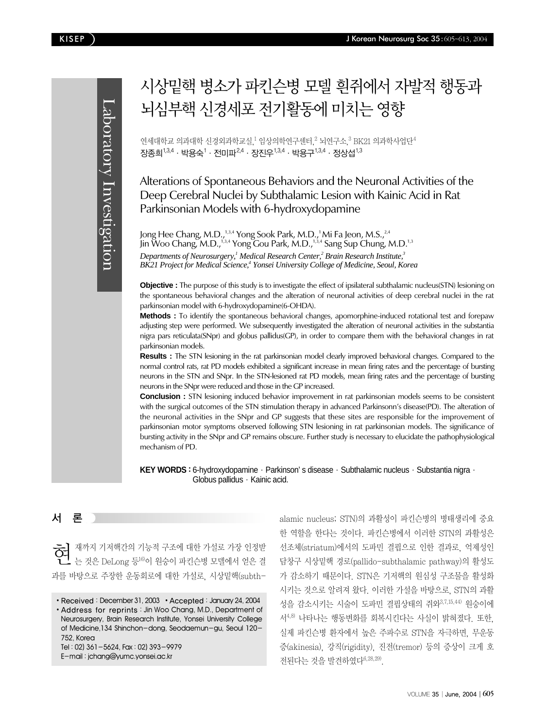Laboratory Investigation Laboratory Investigation

# 시상밑핵 병소가 파킨슨병 모델 흰쥐에서 자발적 행동과 뇌심부핵 시경세포 전기활동에 미치는 영향

연세대학교 의과대학 신경외과학교실,<sup>1</sup> 임상의학연구센터,<sup>2</sup> 뇌연구소,<sup>3</sup> BK21 의과학사업단<sup>4</sup> 장종희<sup>1,3,4</sup>ㆍ박용숙<sup>1</sup>ㆍ전미파<sup>2,4</sup>ㆍ장진우<sup>1,3,4</sup>ㆍ박용구<sup>1,3,4</sup>ㆍ정상섭<sup>1,3</sup>

Alterations of Spontaneous Behaviors and the Neuronal Activities of the Deep Cerebral Nuclei by Subthalamic Lesion with Kainic Acid in Rat Parkinsonian Models with 6-hydroxydopamine

Jong Hee Chang, M.D.,<sup>1,3,4</sup> Yong Sook Park, M.D.,<sup>1</sup> Mi Fa Jeon, M.S.,<sup>2,4</sup> Jin Woo Chang, M.D.,<sup>1,3,4</sup> Yong Gou Park, M.D.,<sup>1,3,4</sup> Sang Sup Chung, M.D.<sup>1,3</sup> *Departments of Neurosurgery,<sup>1</sup> Medical Research Center,<sup>2</sup> Brain Research Institute,<sup>3</sup> BK21 Project for Medical Science,<sup>4</sup> Yonsei University College of Medicine, Seoul, Korea* 

**Objective :** The purpose of this study is to investigate the effect of ipsilateral subthalamic nucleus(STN) lesioning on the spontaneous behavioral changes and the alteration of neuronal activities of deep cerebral nuclei in the rat parkinsonian model with 6-hydroxydopamine(6-OHDA).

**Methods :** To identify the spontaneous behavioral changes, apomorphine-induced rotational test and forepaw adjusting step were performed. We subsequently investigated the alteration of neuronal activities in the substantia nigra pars reticulata(SNpr) and globus pallidus(GP), in order to compare them with the behavioral changes in rat parkinsonian models.

**Results :** The STN lesioning in the rat parkinsonian model clearly improved behavioral changes. Compared to the normal control rats, rat PD models exhibited a significant increase in mean firing rates and the percentage of bursting neurons in the STN and SNpr. In the STN-lesioned rat PD models, mean firing rates and the percentage of bursting neurons in the SNpr were reduced and those in the GP increased.

**Conclusion :** STN lesioning induced behavior improvement in rat parkinsonian models seems to be consistent with the surgical outcomes of the STN stimulation therapy in advanced Parkinsonn's disease(PD). The alteration of the neuronal activities in the SNpr and GP suggests that these sites are responsible for the improvement of parkinsonian motor symptoms observed following STN lesioning in rat parkinsonian models. The significance of bursting activity in the SNpr and GP remains obscure. Further study is necessary to elucidate the pathophysiological mechanism of PD.

KEY WORDS : 6-hydroxydopamine · Parkinson' s disease · Subthalamic nucleus · Substantia nigra · Globus pallidus · Kainic acid.

## 서 론

현재까지 기저핵간의 기능적 구조에 대한 가설로 가장 인정받 는 것은 DeLong 등16)이 원숭이 파킨슨병 모델에서 얻은 결 과를 바탕으로 주장한 운동회로에 대한 가설로, 시상밑핵(subth-

• Address for reprints: Jin Woo Chang, M.D., Department of Neurosurgery, Brain Research Institute, Yonsei University College of Medicine,134 Shinchon-dong, Seodaemun-gu, Seoul 120- 752, Korea Tel : 02) 361-5624, Fax : 02) 393-9979

E-mail : jchang@yumc.yonsei.ac.kr

alamic nucleus; STN)의 과활성이 파킨슨병의 병태생리에 중요 한 역할을 한다는 것이다. 파킨슨병에서 이러한 STN의 과활성은 선조체(striatum)에서의 도파민 결핍으로 인한 결과로, 억제성인 담창구 시상밑핵 경로(pallido-subthalamic pathway)의 활성도 가 감소하기 때문이다. STN은 기저핵의 원심성 구조물을 활성화 시키는 것으로 알려져 왔다. 이러한 가설을 바탕으로, STN의 과활 성을 감소시키는 시술이 도파민 결핍상태의 쥐와3,7,15,44) 원숭이에 서4,8) 나타나는 행동변화를 회복시킨다는 사실이 밝혀졌다. 또한, 실제 파킨슨병 환자에서 높은 주파수로 STN을 자극하면, 무운동 증(akinesia), 강직(rigidity), 진전(tremor) 등의 증상이 크게 호 전된다는 것을 발견하였다6,28,29).

<sup>•</sup> Received: December 31, 2003 • Accepted: January 24, 2004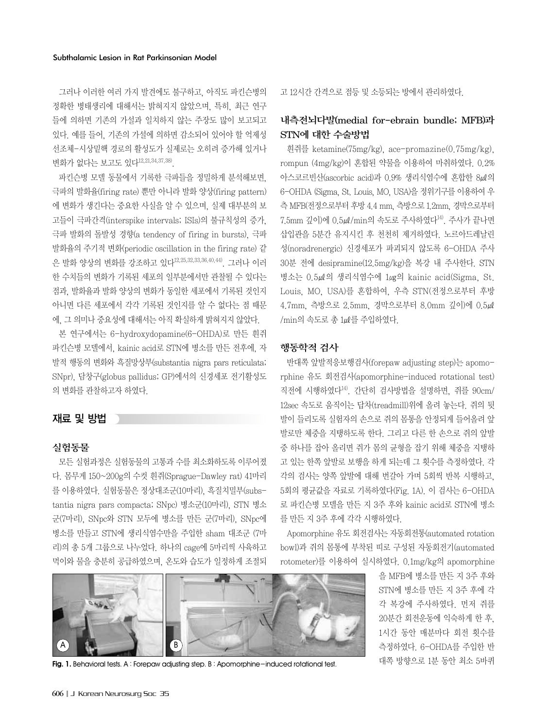그러나 이러한 여러 가지 발견에도 불구하고, 아직도 파킨슨병의 정확한 병태생리에 대해서는 밝혀지지 않았으며, 특히, 최근 연구 들에 의하면 기존의 가설과 일치하지 않는 주장도 많이 보고되고 있다. 예를 들어, 기존의 가설에 의하면 감소되어 있어야 할 억제성 선조체-시상밑핵 경로의 활성도가 실제로는 오히려 증가해 있거나 변화가 없다는 보고도 있다<sup>12,21,34,37,38)</sup>.

파킨슨병 모델 동물에서 기록한 극파들을 정밀하게 분석해보면, 극파의 발화율(firing rate) 뿐만 아니라 발화 양상(firing pattern) 에 변화가 생긴다는 중요한 사실을 알 수 있으며, 실제 대부분의 보 고들이 극파간격(interspike intervals; ISIs)의 불규칙성의 증가, 극파 발화의 돌발성 경향(a tendency of firing in bursts), 극파 발화율의 주기적 변화(periodic oscillation in the firing rate) 같 은 발화 양상의 변화를 강조하고 있다12,25,32,33,36,40,44). 그러나 이러 한 수치들의 변화가 기록된 세포의 일부분에서만 관찰될 수 있다는 점과, 발화율과 발화 양상의 변화가 동일한 세포에서 기록된 것인지 아니면 다른 세포에서 각각 기록된 것인지를 알 수 없다는 점 때문 에, 그 의미나 중요성에 대해서는 아직 확실하게 밝혀지지 않았다.

본 연구에서는 6-hydroxydopamine(6-OHDA)로 만든 흰쥐 파킨슨병 모델에서, kainic acid로 STN에 병소를 만든 전후에, 자 발적 행동의 변화와 흑질망상부(substantia nigra pars reticulata; SNpr), 담창구(globus pallidus; GP)에서의 신경세포 전기활성도 의 변화를 관찰하고자 하였다.

## 재료 및 방법

#### 실험동물

모든 실험과정은 실험동물의 고통과 수를 최소화하도록 이루어졌 다. 몸무게 150~200g의 수컷 흰쥐(Sprague-Dawley rat) 41마리 를 이용하였다. 실험동물은 정상대조군(10마리), 흑질치밀부(substantia nigra pars compacta; SNpc) 병소군(10마리), STN 병소 군(7마리), SNpc와 STN 모두에 병소를 만든 군(7마리), SNpc에 병소를 만들고 STN에 생리식염수만을 주입한 sham 대조군 (7마 리)의 총 5개 그룹으로 나누었다. 하나의 cage에 5마리씩 사육하고 먹이와 물을 충분히 공급하였으며, 온도와 습도가 일정하게 조절되

**CARE** A B

**Fig. 1.** Behavioral tests. A : Forepaw adjusting step. B : Apomorphine-induced rotational test. 대쪽 방향으로 1분 동안 최소 5바퀴

고 12시간 간격으로 점등 및 소등되는 방에서 관리하였다.

## 내측전뇌다발(medial for-ebrain bundle; MFB)과 STN에 대한 수술방법

흰쥐를 ketamine(75mg/kg), ace-promazine(0.75mg/kg), rompun (4mg/kg)이 혼합된 약물을 이용하여 마취하였다. 0.2% 아스코르빈산(ascorbic acid)과 0.9% 생리식염수에 혼합한 8㎕의 6-OHDA (Sigma, St. Louis, MO, USA)을 정위기구를 이용하여 우 측 MFB(전정으로부터후방 4.4 mm, 측방으로 1.2mm, 경막으로부터 7.5mm 깊이)에 0.5㎕/min의 속도로 주사하였다14). 주사가 끝나면 삽입관을 5분간 유지시킨 후 천천히 제거하였다. 노르아드레날린 성(noradrenergic) 신경세포가 파괴되지 않도록 6-OHDA 주사 30분 전에 desipramine(12.5mg/kg)을 복강 내 주사한다. STN 병소는 0.5㎕의 생리식염수에 1㎍의 kainic acid(Sigma, St. Louis, MO, USA)를 혼합하여, 우측 STN(전정으로부터 후방 4.7mm, 측방으로 2.5mm, 경막으로부터 8.0mm 깊이)에 0.5㎕ /min의 속도로 총 1㎕를 주입하였다.

## 행동학적 검사

반대쪽 앞발적응보행검사(forepaw adjusting step)는 apomorphine 유도 회전검사(apomorphine-induced rotational test) 직전에 시행하였다14). 간단히 검사방법을 설명하면, 쥐를 90cm/ 12sec 속도로 움직이는 답차(treadmill)위에 올려 놓는다. 쥐의 뒷 발이 들리도록 실험자의 손으로 쥐의 몸통을 안정되게 들어올려 앞 발로만 체중을 지탱하도록 한다. 그리고 다른 한 손으로 쥐의 앞발 중 하나를 잡아 올리면 쥐가 몸의 균형을 잡기 위해 체중을 지탱하 고 있는 한쪽 앞발로 보행을 하게 되는데 그 횟수를 측정하였다. 각 각의 검사는 양쪽 앞발에 대해 번갈아 가며 5회씩 반복 시행하고, 5회의 평균값을 자료로 기록하였다(Fig. 1A). 이 검사는 6-OHDA 로 파킨슨병 모델을 만든 지 3주 후와 kainic acid로 STN에 병소 를 만든 지 3주 후에 각각 시행하였다.

Apomorphine 유도 회전검사는 자동회전통(automated rotation bowl)과 쥐의 몸통에 부착된 띠로 구성된 자동회전기(automated rotometer)를 이용하여 실시하였다. 0.1mg/kg의 apomorphine

> 을 MFB에 병소를 만든 지 3주 후와 STN에 병소를 만든 지 3주 후에 각 각 복강에 주사하였다. 먼저 쥐를 20분간 회전운동에 익숙하게 한 후, 1시간 동안 매분마다 회전 횟수를 측정하였다. 6-OHDA를 주입한 반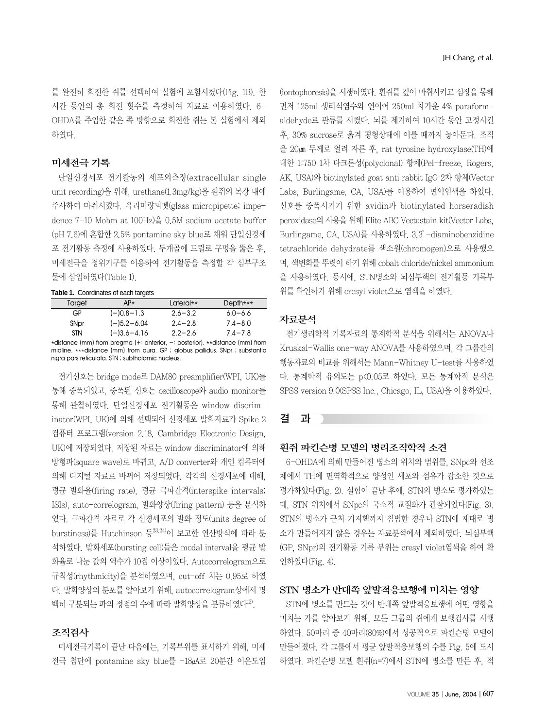를 완전히 회전한 쥐를 선택하여 실험에 포함시켰다(Fig. 1B). 한 시간 동안의 총 회전 횟수를 측정하여 자료로 이용하였다. 6- OHDA를 주입한 같은 쪽 방향으로 회전한 쥐는 본 실험에서 제외 하였다.

## 미세전극 기록

단일신경세포 전기활동의 세포외측정(extracellular single unit recording)을 위해, urethane(1.3mg/kg)을 흰쥐의 복강 내에 주사하여 마취시켰다. 유리미량피펫(glass micropipette; impedence 7-10 Mohm at 100Hz)을 0.5M sodium acetate buffer (pH 7.6)에 혼합한 2.5% pontamine sky blue로 채워 단일신경세 포 전기활동 측정에 사용하였다. 두개골에 드릴로 구멍을 뚫은 후, 미세전극을 정위기구를 이용하여 전기활동을 측정할 각 심부구조 물에 삽입하였다(Table 1).

#### **Table 1.** Coordinates of each targets

| Target | $AP*$           | Lateral**   | Depth***    |  |
|--------|-----------------|-------------|-------------|--|
| GP     | $(-)0.8 - 1.3$  | $2.6 - 3.2$ | $6.0 - 6.6$ |  |
| SNpr   | $(-)5.2 - 6.04$ | $2.4 - 2.8$ | $7.4 - 8.0$ |  |
| STN    | $(-)3.6 - 4.16$ | $2.2 - 2.6$ | $7.4 - 7.8$ |  |

\*distance (mm) from breama (+: anterior,  $-$ : posterior), \*\*distance (mm) from midline. \*\*\*distance (mm) from dura. GP ; globus pallidus. SNpr ; substantia nigra pars reticulata. STN ; subthalamic nucleus.

전기신호는 bridge mode로 DAM80 preamplifier(WPI, UK)를 통해 증폭되었고, 증폭된 신호는 oscilloscope와 audio monitor를 통해 관찰하였다. 단일신경세포 전기활동은 window discriminator(WPI, UK)에 의해 선택되어 신경세포 발화자료가 Spike 2 컴퓨터 프로그램(version 2.18, Cambridge Electronic Design, UK)에 저장되었다. 저장된 자료는 window discriminator에 의해 방형파(square wave)로 바뀌고, A/D converter와 개인 컴퓨터에 의해 디지털 자료로 바뀌어 저장되었다. 각각의 신경세포에 대해, 평균 발화율(firing rate), 평균 극파간격(interspike intervals; ISIs), auto-correlogram, 발화양상(firing pattern) 등을 분석하 였다. 극파간격 자료로 각 신경세포의 발화 정도(units degree of burstiness)를 Hutchinson 등<sup>23,24)</sup>이 보고한 연산방식에 따라 분 석하였다. 발화세포(bursting cell)들은 modal interval을 평균 발 화율로 나눈 값의 역수가 10점 이상이었다. Autocorrelogram으로 규칙성(rhythmicity)을 분석하였으며, cut-off 치는 0.95로 하였 다. 발화양상의 분포를 알아보기 위해, autocorrelogram상에서 명 백히 구분되는 파의 정점의 수에 따라 발화양상을 분류하였다<sup>12)</sup>.

#### 조직검사

미세전극기록이 끝난 다음에는, 기록부위를 표시하기 위해, 미세 전극 첨단에 pontamine sky blue를 -18㎂로 20분간 이온도입 (iontophoresis)을 시행하였다. 흰쥐를 깊이 마취시키고 심장을 통해 먼저 125ml 생리식염수와 연이어 250ml 차가운 4% paraformaldehyde로 관류를 시켰다. 뇌를 제거하여 10시간 동안 고정시킨 후, 30% sucrose로 옮겨 평형상태에 이를 때까지 놓아둔다. 조직 을 20㎛ 두께로 얼려 자른 후, rat tyrosine hydroxylase(TH)에 대한 1:750 1차 다크론성(polyclonal) 항체(Pel-freeze, Rogers, AK, USA)와 biotinylated goat anti rabbit IgG 2차 항체(Vector Labs, Burlingame, CA, USA)를 이용하여 면역염색을 하였다. 신호를 증폭시키기 위한 avidin과 biotinylated horseradish peroxidase의 사용을 위해 Elite ABC Vectastain kit(Vector Labs, Burlingame, CA, USA)를 사용하였다. 3,3'-diaminobenzidine tetrachloride dehydrate를 색소원(chromogen)으로 사용했으 며, 색변화를 뚜렷이 하기 위해 cobalt chloride/nickel ammonium 을 사용하였다. 동시에, STN병소와 뇌심부핵의 전기활동 기록부 위를 확인하기 위해 cresyl violet으로 염색을 하였다.

#### 자료분석

전기생리학적 기록자료의 통계학적 분석을 위해서는 ANOVA나 Kruskal-Wallis one-way ANOVA를 사용하였으며, 각 그룹간의 행동자료의 비교를 위해서는 Mann-Whitney U-test를 사용하였 다. 통계학적 유의도는 p<0.05로 하였다. 모든 통계학적 분석은 SPSS version 9.0(SPSS Inc., Chicago, IL, USA)을 이용하였다.

### 결 과

#### 흰쥐 파킨슨병 모델의 병리조직학적 소견

6-OHDA에 의해 만들어진 병소의 위치와 범위를, SNpc와 선조 체에서 TH에 면역학적으로 양성인 세포와 섬유가 감소한 것으로 평가하였다(Fig. 2). 실험이 끝난 후에, STN의 병소도 평가하였는 데, STN 위치에서 SNpc의 국소적 교질화가 관찰되었다(Fig. 3). STN의 병소가 근처 기저핵까지 침범한 경우나 STN에 제대로 병 소가 만들어지지 않은 경우는 자료분석에서 제외하였다. 뇌심부핵 (GP, SNpr)의 전기활동 기록 부위는 cresyl violet염색을 하여 확 인하였다(Fig. 4).

#### STN 병소가 반대쪽 앞발적응보행에 미치는 영향

STN에 병소를 만드는 것이 반대쪽 앞발적응보행에 어떤 영향을 미치는 가를 알아보기 위해, 모든 그룹의 쥐에게 보행검사를 시행 하였다. 50마리 중 40마리(80%)에서 성공적으로 파킨슨병 모델이 만들어졌다. 각 그룹에서 평균 앞발적응보행의 수를 Fig. 5에 도시 하였다. 파킨슨병 모델 흰쥐(n=7)에서 STN에 병소를 만든 후, 적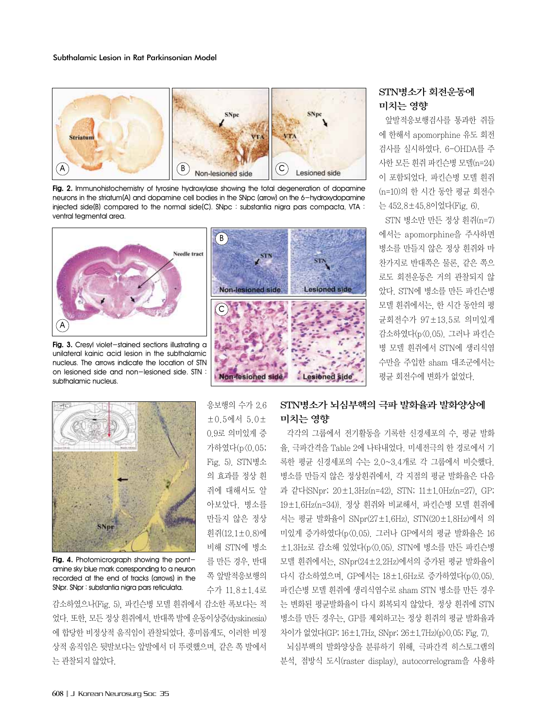

**Fig. 2.** Immunohistochemistry of tyrosine hydroxylase showing the total degeneration of dopamine neurons in the striatum(A) and dopamine cell bodies in the SNpc (arrow) on the 6-hydroxydopamine injected side(B) compared to the normal side(C). SNpc : substantia nigra pars compacta, VTA : ventral tegmental area.



Fig. 3. Cresyl violet-stained sections illustrating a unilateral kainic acid lesion in the subthalamic nucleus. The arrows indicate the location of STN on lesioned side and non-lesioned side. STN : subthalamic nucleus.



Fig. 4. Photomicrograph showing the pontamine sky blue mark corresponding to a neuron recorded at the end of tracks (arrows) in the SNpr. SNpr : substantia nigra pars reticulata.

감소하였으나(Fig. 5), 파킨슨병 모델 흰쥐에서 감소한 폭보다는 적 었다. 또한, 모든정상흰쥐에서, 반대쪽발에운동이상증(dyskinesia) 에 합당한 비정상적 움직임이 관찰되었다. 흥미롭게도, 이러한 비정 상적 움직임은 뒷발보다는 앞발에서 더 뚜렷했으며, 같은 쪽 발에서 는 관찰되지 않았다.

 $(B)$  $\mathbf{r}^{\text{STN}}$ STN **Non-lesioned side Lesioned side** C Non-lesioned side **Lesioned** side

# 응보행의 수가 2.6 ±0.5에서 5.0± 0.9로 의미있게 증 가하였다(p<0.05; Fig. 5). STN병소 의 효과를 정상 흰 쥐에 대해서도 알 아보았다. 병소를 만들지 않은 정상 흰쥐(12.1±0.8)에 비해 STN에 병소

를 만든 경우, 반대 쪽 앞발적응보행의 수가 11.8±1.4로

## STN병소가 회전운동에 미치는 영향

앞발적응보행검사를 통과한 쥐들 에 한해서 apomorphine 유도 회전 검사를 실시하였다. 6-OHDA를 주 사한 모든 흰쥐 파킨슨병 모델(n=24) 이 포함되었다. 파킨슨병 모델 흰쥐 (n=10)의 한 시간 동안 평균 회전수 는 452.8±45.8이었다(Fig. 6).

STN 병소만 만든 정상 흰쥐(n=7) 에서는 apomorphine을 주사하면 병소를 만들지 않은 정상 흰쥐와 마 찬가지로 반대쪽은 물론, 같은 쪽으 로도 회전운동은 거의 관찰되지 않 았다. STN에 병소를 만든 파킨슨병 모델 흰쥐에서는, 한 시간 동안의 평 균회전수가 97±13.5로 의미있게 감소하였다(p<0.05). 그러나 파킨슨 병 모델 흰쥐에서 STN에 생리식염 수만을 주입한 sham 대조군에서는 평균 회전수에 변화가 없었다.

# STN병소가 뇌심부핵의 극파 발화율과 발화양상에 미치는 영향

각각의 그룹에서 전기활동을 기록한 신경세포의 수, 평균 발화 율, 극파간격을 Table 2에 나타내었다. 미세전극의 한 경로에서 기 록한 평균 신경세포의 수는 2.0~3.4개로 각 그룹에서 비슷했다. 병소를 만들지 않은 정상흰쥐에서, 각 지점의 평균 발화율은 다음 과 같다{SNpr; 20±1.3Hz(n=42), STN; 11±1.0Hz(n=27), GP; 19±1.6Hz(n=34)}. 정상 흰쥐와 비교해서, 파킨슨병 모델 흰쥐에 서는 평균 발화율이 SNpr(27±1.6Hz), STN(20±1.8Hz)에서 의 미있게 증가하였다(p<0.05). 그러나 GP에서의 평균 발화율은 16 ±1.3Hz로 감소해 있었다(p<0.05). STN에 병소를 만든 파킨슨병 모델 흰쥐에서는, SNpr(24±2.2Hz)에서의 증가된 평균 발화율이 다시 감소하였으며, GP에서는 18±1.6Hz로 증가하였다(p<0.05). 파킨슨병 모델 흰쥐에 생리식염수로 sham STN 병소를 만든 경우 는 변화된 평균발화율이 다시 회복되지 않았다. 정상 흰쥐에 STN 병소를 만든 경우는, GP를 제외하고는 정상 흰쥐의 평균 발화율과 차이가 없었다(GP; 16±1.7Hz, SNpr; 26±1.7Hz)(p>0.05; Fig. 7).

뇌심부핵의 발화양상을 분류하기 위해, 극파간격 히스토그램의 분석, 점방식 도시(raster display), autocorrelogram을 사용하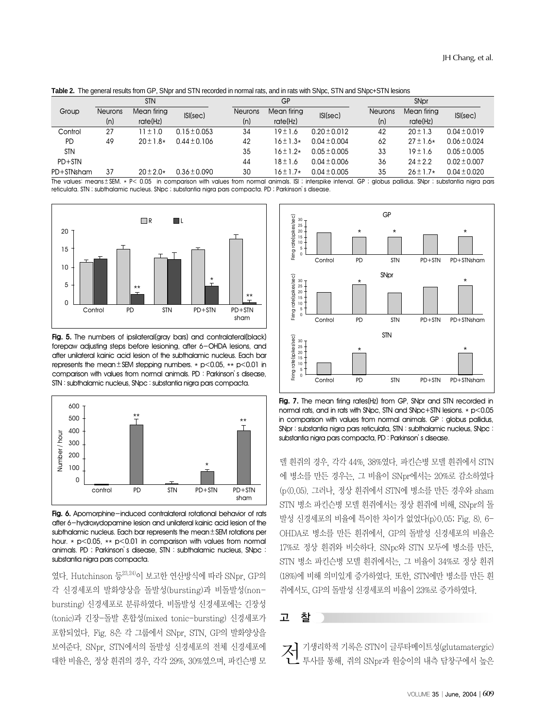**Table 2.** The general results from GP, SNpr and STN recorded in normal rats, and in rats with SNpc, STN and SNpc+STN lesions

|            | <b>STN</b>     |               |                  | GP             |               | SN <sub>pr</sub> |                |               |                  |
|------------|----------------|---------------|------------------|----------------|---------------|------------------|----------------|---------------|------------------|
| Group      | <b>Neurons</b> | Mean firing   | ISI(sec)         | <b>Neurons</b> | Mean firing   | ISI(sec)         | <b>Neurons</b> | Mean firing   | ISI(sec)         |
|            | (n)            | rate(Hz)      |                  | (n)            | rate(Hz)      |                  | (n)            | rate(Hz)      |                  |
| Control    | 27             | $11 \pm 1.0$  | $0.15 \pm 0.053$ | 34             | $19 \pm 1.6$  | $0.20 \pm 0.012$ | 42             | $20 \pm 1.3$  | $0.04 \pm 0.019$ |
| <b>PD</b>  | 49             | $20 \pm 1.8*$ | $0.44 \pm 0.106$ | 42             | $16 \pm 1.3*$ | $0.04 \pm 0.004$ | 62             | $27 \pm 1.6*$ | $0.06 \pm 0.024$ |
| <b>STN</b> |                |               |                  | 35             | $16 \pm 1.2*$ | $0.05 \pm 0.005$ | 33             | $19 \pm 1.6$  | $0.05 \pm 0.005$ |
| $PD+STN$   |                |               |                  | 44             | $18 \pm 1.6$  | $0.04 \pm 0.006$ | 36             | $24 \pm 2.2$  | $0.02 \pm 0.007$ |
| PD+STNsham | 37             | $20 \pm 2.0*$ | $0.36 \pm 0.090$ | 30             | $16 \pm 1.7*$ | $0.04 \pm 0.005$ | 35             | $26 \pm 1.7*$ | $0.04 \pm 0.020$ |

The values: means ± SEM. \* P< 0.05 in comparison with values from normal animals. ISI ; interspike interval. GP ; globus pallidus. SNpr ; substantia nigra pars reticulata. STN ; subthalamic nucleus. SNpc ; substantia nigra pars compacta. PD ; Parkinson's disease.



**Fig. 5.** The numbers of ipsilateral(gray bars) and contralateral(black) forepaw adjusting steps before lesioning, after 6-OHDA lesions, and after unilateral kainic acid lesion of the subthalamic nucleus. Each bar represents the mean  $\pm$  SEM stepping numbers.  $*$  p<0.05,  $**$  p<0.01 in comparison with values from normal animals. PD : Parkinson's disease, STN : subthalamic nucleus, SNpc : substantia nigra pars compacta.



Fig. 6. Apomorphine-induced contralateral rotational behavior of rats after 6-hydroxydopamine lesion and unilateral kainic acid lesion of the subthalamic nucleus. Each bar represents the mean±SEM rotations per hour. \* p<0.05, \*\* p<0.01 in comparison with values from normal animals. PD ; Parkinson's disease, STN : subthalamic nucleus, SNpc : substantia nigra pars compacta.

였다. Hutchinson 등23,24)이 보고한 연산방식에 따라 SNpr, GP의 각 신경세포의 발화양상을 돌발성(bursting)과 비돌발성(nonbursting) 신경세포로 분류하였다. 비돌발성 신경세포에는 긴장성 (tonic)과 긴장-돌발 혼합성(mixed tonic-bursting) 신경세포가 포함되었다. Fig. 8은 각 그룹에서 SNpr, STN, GP의 발화양상을 보여준다. SNpr, STN에서의 돌발성 신경세포의 전체 신경세포에 대한 비율은, 정상 흰쥐의 경우, 각각 29%, 30%였으며, 파킨슨병 모



**Fig. 7.** The mean firing rates(Hz) from GP, SNpr and STN recorded in normal rats, and in rats with SNpc, STN and SNpc+STN lesions. \* p<0.05 in comparison with values from normal animals. GP : globus pallidus, SNpr : substantia nigra pars reticulata, STN : subthalamic nucleus, SNpc : substantia nigra pars compacta, PD : Parkinson's disease.

델 흰쥐의 경우, 각각 44%, 38%였다. 파킨슨병 모델 흰쥐에서 STN 에 병소를 만든 경우는, 그 비율이 SNpr에서는 20%로 감소하였다 (p<0.05). 그러나, 정상 흰쥐에서 STN에 병소를 만든 경우와 sham STN 병소 파킨슨병 모델 흰쥐에서는 정상 흰쥐에 비해, SNpr의 돌 발성 신경세포의 비율에 특이한 차이가 없었다(p>0.05; Fig. 8). 6- OHDA로 병소를 만든 흰쥐에서, GP의 돌발성 신경세포의 비율은 17%로 정상 흰쥐와 비슷하다. SNpc와 STN 모두에 병소를 만든, STN 병소 파킨슨병 모델 흰쥐에서는, 그 비율이 34%로 정상 흰쥐 (18%)에 비해 의미있게 증가하였다. 또한, STN에만 병소를 만든 흰 쥐에서도, GP의 돌발성 신경세포의 비율이 23%로 증가하였다.

### 고 찰

 $\mathcal{K}$  기생리학적 기록은 STN이 글루타메이트성(glutamatergic) 투사를 통해, 쥐의 SNpr과 원숭이의 내측 담창구에서 높은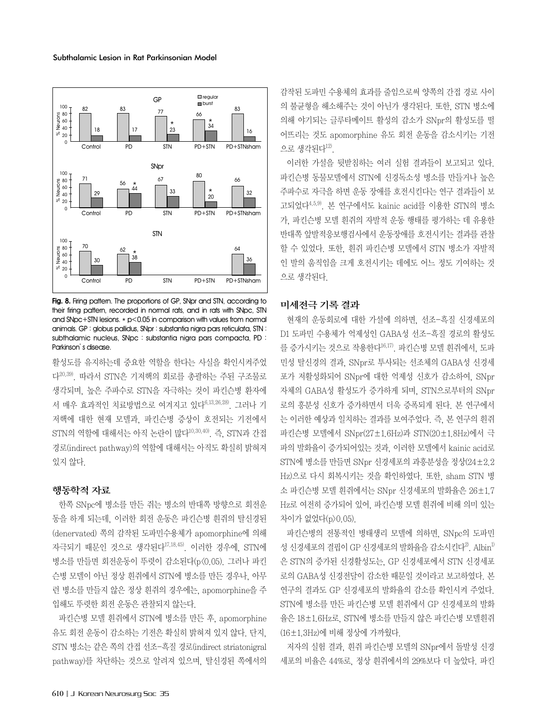

**Fig. 8.** Firing pattern. The proportions of GP, SNpr and STN, according to their firing pattern, recorded in normal rats, and in rats with SNpc, STN and SNpc+STN lesions.  $*$  p<0.05 in comparison with values from normal animals. GP : globus pallidus, SNpr : substantia nigra pars reticulata, STN : subthalamic nucleus, SNpc : substantia nigra pars compacta, PD : Parkinson's disease.

활성도를 유지하는데 중요한 역할을 한다는 사실을 확인시켜주었 다20,39). 따라서 STN은 기저핵의 회로를 총괄하는 주된 구조물로 생각되며, 높은 주파수로 STN을 자극하는 것이 파킨슨병 환자에 서 매우 효과적인 치료방법으로 여겨지고 있다6,13,26,28). 그러나 기 저핵에 대한 현재 모델과, 파킨슨병 증상이 호전되는 기전에서 STN의 역할에 대해서는 아직 논란이 많다<sup>10,30,40)</sup>. 즉, STN과 간접 경로(indirect pathway)의 역할에 대해서는 아직도 확실히 밝혀져 있지 않다.

#### 행동학적 자료

한쪽 SNpc에 병소를 만든 쥐는 병소의 반대쪽 방향으로 회전운 동을 하게 되는데, 이러한 회전 운동은 파킨슨병 흰쥐의 탈신경된 (denervated) 쪽의 감작된 도파민수용체가 apomorphine에 의해 자극되기 때문인 것으로 생각된다17,18,45). 이러한 경우에, STN에 병소를 만들면 회전운동이 뚜렷이 감소된다(p<0.05). 그러나 파킨 슨병 모델이 아닌 정상 흰쥐에서 STN에 병소를 만든 경우나, 아무 런 병소를 만들지 않은 정상 흰쥐의 경우에는, apomorphine을 주 입해도 뚜렷한 회전 운동은 관찰되지 않는다.

파킨슨병 모델 흰쥐에서 STN에 병소를 만든 후, apomorphine 유도 회전 운동이 감소하는 기전은 확실히 밝혀져 있지 않다. 단지, STN 병소는 같은 쪽의 간접 선조-흑질 경로(indirect striatonigral pathway)를 차단하는 것으로 알려져 있으며, 탈신경된 쪽에서의

감작된 도파민 수용체의 효과를 줄임으로써 양쪽의 간접 경로 사이 의 불균형을 해소해주는 것이 아닌가 생각된다. 또한, STN 병소에 의해 야기되는 글루타메이트 활성의 감소가 SNpr의 활성도를 떨 어뜨리는 것도 apomorphine 유도 회전 운동을 감소시키는 기전 으로 생각된다 $12$ 

이러한 가설을 뒷받침하는 여러 실험 결과들이 보고되고 있다. 파킨슨병 동물모델에서 STN에 신경독소성 병소를 만들거나 높은 주파수로 자극을 하면 운동 장애를 호전시킨다는 연구 결과들이 보 고되었다4,5,9). 본 연구에서도 kainic acid를 이용한 STN의 병소 가, 파킨슨병 모델 흰쥐의 자발적 운동 행태를 평가하는 데 유용한 반대쪽 앞발적응보행검사에서 운동장애를 호전시키는 결과를 관찰 할 수 있었다. 또한, 흰쥐 파킨슨병 모델에서 STN 병소가 자발적 인 발의 움직임을 크게 호전시키는 데에도 어느 정도 기여하는 것 으로 생각된다.

#### 미세전극 기록 결과

현재의 운동회로에 대한 가설에 의하면, 선조-흑질 신경세포의 D1 도파민 수용체가 억제성인 GABA성 선조-흑질 경로의 활성도 를 증가시키는 것으로 작용한다16,17). 파킨슨병 모델 흰쥐에서, 도파 민성 탈신경의 결과, SNpr로 투사되는 선조체의 GABA성 신경세 포가 저활성화되어 SNpr에 대한 억제성 신호가 감소하여, SNpr 자체의 GABA성 활성도가 증가하게 되며, STN으로부터의 SNpr 로의 흥분성 신호가 증가하면서 더욱 증폭되게 된다. 본 연구에서 는 이러한 예상과 일치하는 결과를 보여주었다. 즉, 본 연구의 흰쥐 파킨슨병 모델에서 SNpr(27±1.6Hz)과 STN(20±1.8Hz)에서 극 파의 발화율이 증가되어있는 것과, 이러한 모델에서 kainic acid로 STN에 병소를 만들면 SNpr 신경세포의 과흥분성을 정상(24±2.2 Hz)으로 다시 회복시키는 것을 확인하였다. 또한, sham STN 병 소 파킨슨병 모델 흰쥐에서는 SNpr 신경세포의 발화율은 26±1.7 Hz로 여전히 증가되어 있어, 파킨슨병 모델 흰쥐에 비해 의미 있는 차이가 없었다(p>0.05).

파킨슨병의 전통적인 병태생리 모델에 의하면, SNpc의 도파민 성 신경세포의 결핍이 GP 신경세포의 발화율을 감소시킨다 $^{2}$ . Albin $^{1}$ 은 STN의 증가된 신경활성도는, GP 신경세포에서 STN 신경세포 로의 GABA성 신경전달이 감소한 때문일 것이라고 보고하였다. 본 연구의 결과도 GP 신경세포의 발화율의 감소를 확인시켜 주었다. STN에 병소를 만든 파킨슨병 모델 흰쥐에서 GP 신경세포의 발화 율은 18±1.6Hz로, STN에 병소를 만들지 않은 파킨슨병 모델흰쥐 (16±1.3Hz)에 비해 정상에 가까웠다.

저자의 실험 결과, 흰쥐 파킨슨병 모델의 SNpr에서 돌발성 신경 세포의 비율은 44%로, 정상 흰쥐에서의 29%보다 더 높았다. 파킨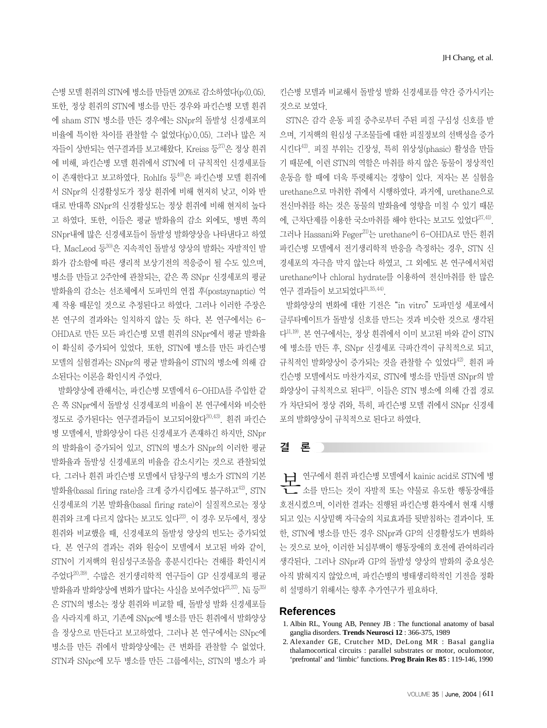슨병 모델 흰쥐의 STN에 병소를 만들면 20%로 감소하였다(p<0.05). 또한, 정상 흰쥐의 STN에 병소를 만든 경우와 파킨슨병 모델 흰쥐 에 sham STN 병소를 만든 경우에는 SNpr의 돌발성 신경세포의 비율에 특이한 차이를 관찰할 수 없었다(p>0.05). 그러나 많은 저 자들이 상반되는 연구결과를 보고해왔다. Kreiss 등27)은 정상 흰쥐 에 비해, 파킨슨병 모델 흰쥐에서 STN에 더 규칙적인 신경세포들 이 존재한다고 보고하였다. Rohlfs 등 $^{40}$ 은 파킨슨병 모델 휘쥐에 서 SNpr의 신경활성도가 정상 흰쥐에 비해 현저히 낮고, 이와 반 대로 반대쪽 SNpr의 신경활성도는 정상 흰쥐에 비해 현저히 높다 고 하였다. 또한, 이들은 평균 발화율의 감소 외에도, 병변 쪽의 SNpr내에 많은 신경세포들이 돌발성 발화양상을 나타낸다고 하였 다. MacLeod 등 $30$ 은 지속적인 돌발성 양상의 발화는 자발적인 발 화가 감소함에 따른 생리적 보상기전의 적응증이 될 수도 있으며, 병소를 만들고 2주안에 관찰되는, 같은 쪽 SNpr 신경세포의 평균 발화율의 감소는 선조체에서 도파민의 연접 후(postsynaptic) 억 제 작용 때문일 것으로 추정된다고 하였다. 그러나 이러한 주장은 본 연구의 결과와는 일치하지 않는 듯 하다. 본 연구에서는 6- OHDA로 만든 모든 파킨슨병 모델 흰쥐의 SNpr에서 평균 발화율 이 확실히 증가되어 있었다. 또한, STN에 병소를 만든 파킨슨병 모델의 실험결과는 SNpr의 평균 발화율이 STN의 병소에 의해 감 소된다는 이론을 확인시켜 주었다.

발화양상에 관해서는, 파킨슨병 모델에서 6-OHDA를 주입한 같 은 쪽 SNpr에서 돌발성 신경세포의 비율이 본 연구에서와 비슷한 정도로 증가된다는 연구결과들이 보고되어왔다30,43). 흰쥐 파킨슨 병 모델에서, 발화양상이 다른 신경세포가 존재하긴 하지만, SNpr 의 발화율이 증가되어 있고, STN의 병소가 SNpr의 이러한 평균 발화율과 돌발성 신경세포의 비율을 감소시키는 것으로 관찰되었 다. 그러나 흰쥐 파킨슨병 모델에서 담창구의 병소가 STN의 기본 발화율(basal firing rate)을 크게 증가시킴에도 불구하고 $^{42}$ , STN 신경세포의 기본 발화율(basal firing rate)이 실질적으로는 정상 흰쥐와 크게 다르지 않다는 보고도 있다<sup>22)</sup>. 이 경우 모두에서, 정상 흰쥐와 비교했을 때, 신경세포의 돌발성 양상의 빈도는 증가되었 다. 본 연구의 결과는 쥐와 원숭이 모델에서 보고된 바와 같이, STN이 기저핵의 원심성구조물을 흥분시킨다는 견해를 확인시켜 주었다20,39). 수많은 전기생리학적 연구들이 GP 신경세포의 평균 발화율과 발화양상에 변화가 많다는 사실을 보여주었다 $^{21,37}$ . Ni 등 $^{35}$ 은 STN의 병소는 정상 흰쥐와 비교할 때, 돌발성 발화 신경세포들 을 사라지게 하고, 기존에 SNpc에 병소를 만든 흰쥐에서 발화양상 을 정상으로 만든다고 보고하였다. 그러나 본 연구에서는 SNpc에 병소를 만든 쥐에서 발화양상에는 큰 변화를 관찰할 수 없었다. STN과 SNpc에 모두 병소를 만든 그룹에서는, STN의 병소가 파 킨슨병 모델과 비교해서 돌발성 발화 신경세포를 약간 증가시키는 것으로 보였다.

STN은 감각 운동 피질 중추로부터 주된 피질 구심성 신호를 받 으며, 기저핵의 원심성 구조물들에 대한 피질정보의 선택성을 증가 시킨다42). 피질 부위는 긴장성, 특히 위상성(phasic) 활성을 만들 기 때문에, 이런 STN의 역할은 마취를 하지 않은 동물이 정상적인 운동을 할 때에 더욱 뚜렷해지는 경향이 있다. 저자는 본 실험을 urethane으로 마취한 쥐에서 시행하였다. 과거에, urethane으로 전신마취를 하는 것은 동물의 발화율에 영향을 미칠 수 있기 때문 에, 근차단제를 이용한 국소마취를 해야 한다는 보고도 있었다27,41). 그러나 Hassani와 Feger21)는 urethane이 6-OHDA로 만든 흰쥐 파킨슨병 모델에서 전기생리학적 반응을 측정하는 경우, STN 신 경세포의 자극을 막지 않는다 하였고, 그 외에도 본 연구에서처럼 urethane이나 chloral hydrate를 이용하여 전신마취를 한 많은 연구 결과들이 보고되었다 $31,35,44$ ).

발화양상의 변화에 대한 기전은"in vitro"도파민성 세포에서 글루타메이트가 돌발성 신호를 만드는 것과 비슷한 것으로 생각된 다11,19). 본 연구에서는, 정상 흰쥐에서 이미 보고된 바와 같이 STN 에 병소를 만든 후, SNpr 신경세포 극파간격이 규칙적으로 되고, 규칙적인 발화양상이 증가되는 것을 관찰할 수 있었다42). 흰쥐 파 킨슨병 모델에서도 마찬가지로, STN에 병소를 만들면 SNpr의 발 화양상이 규칙적으로 된다12). 이들은 STN 병소에 의해 간접 경로 가 차단되어 정상 쥐와, 특히, 파킨슨병 모델 쥐에서 SNpr 신경세 포의 발화양상이 규칙적으로 된다고 하였다.

## 결 론

上】 연구에서 흰쥐 파킨슨병 모델에서 kainic acid로 STN에 병<br>←←<br>←← 소를 만드는 것이 자발적 또는 약물로 유도한 행동장애를 호전시켰으며, 이러한 결과는 진행된 파킨슨병 환자에서 현재 시행 되고 있는 시상밑핵 자극술의 치료효과를 뒷받침하는 결과이다. 또 한, STN에 병소를 만든 경우 SNpr과 GP의 신경활성도가 변화하 는 것으로 보아, 이러한 뇌심부핵이 행동장애의 호전에 관여하리라 생각된다. 그러나 SNpr과 GP의 돌발성 양상의 발화의 중요성은 아직 밝혀지지 않았으며, 파킨슨병의 병태생리학적인 기전을 정확 히 설명하기 위해서는 향후 추가연구가 필요하다.

#### **References**

- 1. Albin RL, Young AB, Penney JB : The functional anatomy of basal ganglia disorders. **Trends Neurosci 12** : 366-375, 1989
- 2. Alexander GE, Crutcher MD, DeLong MR : Basal ganglia thalamocortical circuits : parallel substrates or motor, oculomotor, 'prefrontal' and 'limbic' functions. **Prog Brain Res 85** : 119-146, 1990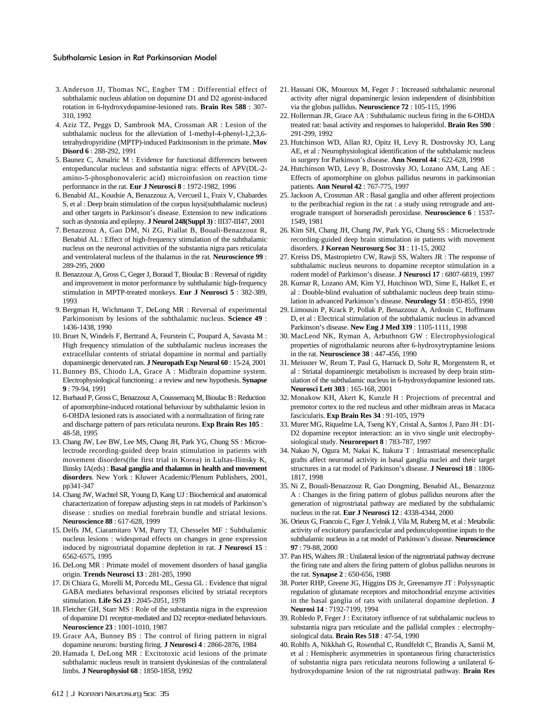#### Subthalamic Lesion in Rat Parkinsonian Model

- 3. Anderson JJ, Thomas NC, Engber TM : Differential effect of subthalamic nucleus ablation on dopamine D1 and D2 agonist-induced rotation in 6-hydroxydopamine-lesioned rats. **Brain Res 588** : 307- 310, 1992
- 4. Aziz TZ, Peggs D, Sambrook MA, Crossman AR : Lesion of the subthalamic nucleus for the alleviation of 1-methyl-4-phenyl-1,2,3,6 tetrahydropyridine (MPTP)-induced Parkinsonism in the primate. **Mov Disord 6** : 288-292, 1991
- 5. Baunez C, Amalric M : Evidence for functional differences between entopeduncular nucleus and substantia nigra: effects of APV(DL-2 amino-5-phosphonovaleric acid) microinfusion on reaction time performance in the rat. **Eur J Neurosci 8** : 1972-1982, 1996
- 6. Benabid AL, Koudsie A, Benazzouz A, Vercueil L, Fraix V, Chabardes S, et al : Deep brain stimulation of the corpus luysi(subthalamic nucleus) and other targets in Parkinson's disease. Extension to new indications such as dystonia and epilepsy. **J Neurol 248(Suppl 3)** : III37-III47, 2001
- 7. Benazzouz A, Gao DM, Ni ZG, Piallat B, Bouali-Benazzouz R, Benabid AL : Effect of high-frequency stimulation of the subthalamic nucleus on the neuronal activities of the substantia nigra pars reticulata and ventrolateral nucleus of the thalamus in the rat. **Neuroscience 99** : 289-295, 2000
- 8. Benazzouz A, Gross C, Geger J, Boraud T, Bioulac B : Reversal of rigidity and improvement in motor performance by subthalamic high-frequency stimulation in MPTP-treated monkeys. **Eur J Neurosci 5** : 382-389, 1993
- 9. Bergman H, Wichmann T, DeLong MR : Reversal of experimental Parkinsonism by lesions of the subthalamic nucleus. **Science 49** : 1436-1438, 1990
- 10. Bruet N, Windels F, Bertrand A, Feurstein C, Poupard A, Savasta M : High frequency stimulation of the subthalamic nucleus increases the extracellular contents of striatal dopamine in normal and partially dopaminergic denervated rats. **J Neuropath Exp Neurol 60** : 15-24, 2001
- 11. Bunney BS, Chiodo LA, Grace A : Midbrain dopamine system. Electrophysiological functioning : a review and new hypothesis. **Synapse 9** : 79-94, 1991
- 12. Burbaud P, Gross C, Benazzouz A, Coussemacq M, Bioulac B : Reduction of apomorphine-induced rotational behaviour by subthalamic lesion in 6-OHDA lesioned rats is associated with a normalization of firing rate and discharge pattern of pars reticulata neurons. **Exp Brain Res 105** : 48-58, 1995
- 13. Chang JW, Lee BW, Lee MS, Chang JH, Park YG, Chung SS : Microelectrode recording-guided deep brain stimulation in patients with movement disorders(the first trial in Korea) in Lultas-Ilinsky K, Ilinsky IA(eds) : **Basal ganglia and thalamus in health and movement disorders**. New York : Kluwer Academic/Plenum Publishers, 2001, pp341-347
- 14. Chang JW, Wachtel SR, Young D, Kang UJ : Biochemical and anatomical characterization of forepaw adjusting steps in rat models of Parkinson's disease : studies on medial forebrain bundle and striatal lesions. **Neuroscience 88** : 617-628, 1999
- 15. Delfs JM, Ciaramitaro VM, Parry TJ, Chesselet MF : Subthalamic nucleus lesions : widespread effects on changes in gene expression induced by nigrostriatal dopamine depletion in rat. **J Neurosci 15** : 6562-6575, 1995
- 16. DeLong MR : Primate model of movement disorders of basal ganglia origin. **Trends Neurosci 13** : 281-285, 1990
- 17. Di Chiara G, Morelli M, Porcedu ML, Gessa GL : Evidence that nigral GABA mediates behavioral responses elicited by striatal receptors stimulation. **Life Sci 23** : 2045-2051, 1978
- 18. Fletcher GH, Starr MS : Role of the substantia nigra in the expression of dopamine D1 receptor-mediated and D2 receptor-mediated behaviours. **Neuroscience 23** : 1001-1010, 1987
- 19. Grace AA, Bunney BS : The control of firing pattern in nigral dopamine neurons: bursting firing. **J Neurosci 4** : 2866-2876, 1984
- 20. Hamada I, DeLong MR : Excitotoxic acid lesions of the primate subthalamic nucleus result in transient dyskinesias of the contralateral limbs. **J Neurophysiol 68** : 1850-1858, 1992
- 21. Hassani OK, Mouroux M, Feger J : Increased subthalamic neuronal activity after nigral dopaminergic lesion independent of disinhibition via the globus pallidus. **Neuroscience 72** : 105-115, 1996
- 22. Hollerman JR, Grace AA : Subthalamic nucleus firing in the 6-OHDA treated rat: basal activity and responses to haloperidol. **Brain Res 590** : 291-299, 1992
- 23. Hutchinson WD, Allan RJ, Opitz H, Levy R, Dostrovsky JO, Lang AE, et al : Neurophysiological identification of the subthalamic nucleus in surgery for Parkinson's disease. **Ann Neurol 44** : 622-628, 1998
- 24. Hutchinson WD, Levy R, Dostrovsky JO, Lozano AM, Lang AE : Effects of apomorphine on globus pallidus neurons in parkinsonian patients. **Ann Neurol 42** : 767-775, 1997
- 25. Jackson A, Crossman AR : Basal ganglia and other afferent projections to the peribrachial region in the rat : a study using retrograde and anterograde transport of horseradish peroxidase. **Neuroscience 6** : 1537- 1549, 1981
- 26. Kim SH, Chang JH, Chang JW, Park YG, Chung SS : Microelectrode recording-guided deep brain stimulation in patients with movement disorders. **J Korean Neurosurg Soc 31** : 11-15, 2002
- 27. Kreiss DS, Mastropietro CW, Rawji SS, Walters JR : The response of subthalamic nucleus neurons to dopamine receptor stimulation in a rodent model of Parkinson's disease. **J Neurosci 17** : 6807-6819, 1997
- 28. Kumar R, Lozano AM, Kim YJ, Hutchison WD, Sime E, Halket E, et al : Double-blind evaluation of subthalamic nucleus deep brain stimulation in advanced Parkinson's disease. **Neurology 51** : 850-855, 1998
- 29. Limousin P, Krack P, Pollak P, Benazzouz A, Ardouin C, Hoffmann D, et al : Electrical stimulation of the subthalamic nucleus in advanced Parkinson's disease. **New Eng J Med 339** : 1105-1111, 1998
- 30. MacLeod NK, Ryman A, Arbuthnott GW : Electrophysiological properties of nigrothalamic neurons after 6-hydroxytryptamine lesions in the rat. **Neuroscience 38** : 447-456, 1990
- 31. Meissner W, Reum T, Paul G, Harnack D, Sohr R, Morgenstern R, et al : Striatal dopaminergic metabolism is increased by deep brain stimulation of the subthalamic nucleus in 6-hydroxydopamine lesioned rats. **Neurosci Lett 303** : 165-168, 2001
- 32. Monakow KH, Akert K, Kunzle H : Projections of precentral and premotor cortex to the red nucleus and other midbrain areas in Macaca fascicularis. **Exp Brain Res 34** : 91-105, 1979
- 33. Murer MG, Riquelme LA, Tseng KY, Cristal A, Santos J, Pazo JH : D1- D2 dopamine receptor interaction: an in vivo single unit electrophysiological study. **Neuroreport 8** : 783-787, 1997
- 34. Nakao N, Ogura M, Nakai K, Itakura T : Intrastriatal mesencephalic grafts affect neuronal activity in basal ganglia nuclei and their target structures in a rat model of Parkinson's disease. **J Neurosci 18** : 1806- 1817, 1998
- 35. Ni Z, Bouali-Benazzouz R, Gao Dongming, Benabid AL, Benazzouz A : Changes in the firing pattern of globus pallidus neurons after the generation of nigrostriatal pathway are mediated by the subthalamic nucleus in the rat. **Eur J Neurosci 12** : 4338-4344, 2000
- 36. Orieux G, Francois C, Fger J, Yelnik J, Vila M, Ruberg M, et al : Metabolic activity of excitatory parafascicular and pedunculopontine inputs to the subthalamic nucleus in a rat model of Parkinson's disease. **Neuroscience 97** : 79-88, 2000
- 37. Pan HS, Walters JR : Unilateral lesion of the nigrostriatal pathway decrease the firing rate and alters the firing pattern of globus pallidus neurons in the rat. **Synapse 2** : 650-656, 1988
- 38. Porter RHP, Greene JG, Higgins DS Jr, Greenamyre JT : Polysynaptic regulation of glutamate receptors and mitochondrial enzyme activities in the basal ganglia of rats with unilateral dopamine depletion. **J Neurosi 14** : 7192-7199, 1994
- 39. Robledo P, Feger J : Excitatory influence of rat subthalamic nucleus to substantia nigra pars reticulate and the pallidal complex : electrophysiological data. **Brain Res 518** : 47-54, 1990
- 40. Rohlfs A, Nikkhah G, Rosenthal C, Rundfeldt C, Brandis A, Samii M, et al : Hemispheric asymmetries in spontaneous firing characteristics of substantia nigra pars reticulata neurons following a unilateral 6 hydroxydopamine lesion of the rat nigrostriatal pathway. **Brain Res**